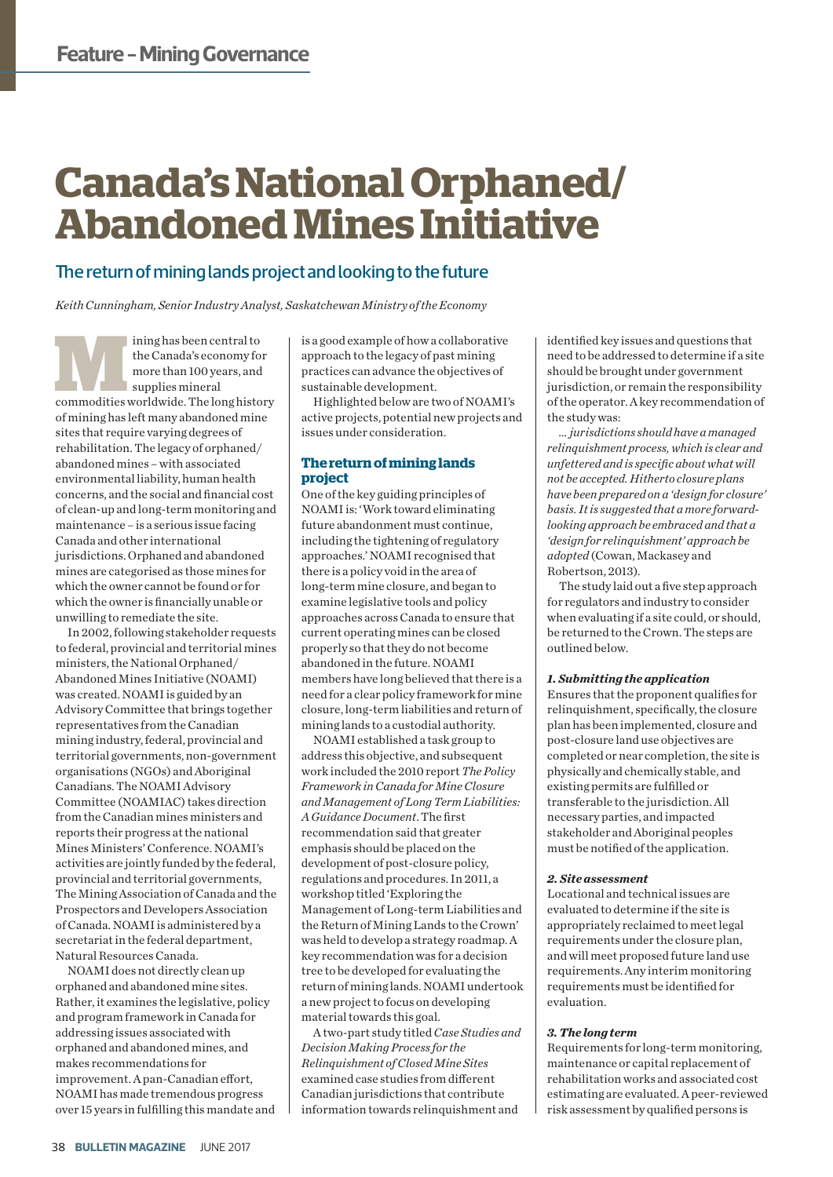# **Canada's National Orphaned/ Abandoned Mines Initiative**

### The return of mining lands project and looking to the future

*Keith Cunningham, Senior Industry Analyst, Saskatchewan Ministry of the Economy*

ming has been central to<br>
the Canada's economy for<br>
more than 100 years, and<br>
supplies mineral<br>
commodities worldwide. The long history the Canada's economy for more than 100 years, and supplies mineral of mining has left many abandoned mine sites that require varying degrees of rehabilitation. The legacy of orphaned/ abandoned mines – with associated environmental liability, human health concerns, and the social and financial cost of clean-up and long-term monitoring and maintenance – is a serious issue facing Canada and other international jurisdictions. Orphaned and abandoned mines are categorised as those mines for which the owner cannot be found or for which the owner is financially unable or unwilling to remediate the site.

In 2002, following stakeholder requests to federal, provincial and territorial mines ministers, the National Orphaned/ Abandoned Mines Initiative (NOAMI) was created. NOAMI is guided by an Advisory Committee that brings together representatives from the Canadian mining industry, federal, provincial and territorial governments, non-government organisations (NGOs) and Aboriginal Canadians. The NOAMI Advisory Committee (NOAMIAC) takes direction from the Canadian mines ministers and reports their progress at the national Mines Ministers' Conference. NOAMI's activities are jointly funded by the federal, provincial and territorial governments, The Mining Association of Canada and the Prospectors and Developers Association of Canada. NOAMI is administered by a secretariat in the federal department, Natural Resources Canada.

NOAMI does not directly clean up orphaned and abandoned mine sites. Rather, it examines the legislative, policy and program framework in Canada for addressing issues associated with orphaned and abandoned mines, and makes recommendations for improvement. A pan-Canadian effort, NOAMI has made tremendous progress over 15 years in fulfilling this mandate and is a good example of how a collaborative approach to the legacy of past mining practices can advance the objectives of sustainable development.

Highlighted below are two of NOAMI's active projects, potential new projects and issues under consideration.

#### **The return of mining lands project**

One of the key guiding principles of NOAMI is: 'Work toward eliminating future abandonment must continue, including the tightening of regulatory approaches.' NOAMI recognised that there is a policy void in the area of long-term mine closure, and began to examine legislative tools and policy approaches across Canada to ensure that current operating mines can be closed properly so that they do not become abandoned in the future. NOAMI members have long believed that there is a need for a clear policy framework for mine closure, long-term liabilities and return of mining lands to a custodial authority.

NOAMI established a task group to address this objective, and subsequent work included the 2010 report *The Policy Framework in Canada for Mine Closure and Management of Long Term Liabilities: A Guidance Document*. The first recommendation said that greater emphasis should be placed on the development of post-closure policy, regulations and procedures. In 2011, a workshop titled 'Exploring the Management of Long-term Liabilities and the Return of Mining Lands to the Crown' was held to develop a strategy roadmap. A key recommendation was for a decision tree to be developed for evaluating the return of mining lands. NOAMI undertook a new project to focus on developing material towards this goal.

A two-part study titled *Case Studies and Decision Making Process for the Relinquishment of Closed Mine Sites* examined case studies from different Canadian jurisdictions that contribute information towards relinquishment and

identified key issues and questions that need to be addressed to determine if a site should be brought under government jurisdiction, or remain the responsibility of the operator. A key recommendation of the study was:

*… jurisdictions should have a managed relinquishment process, which is clear and unfettered and is specific about what will not be accepted. Hitherto closure plans have been prepared on a 'design for closure' basis. It is suggested that a more forwardlooking approach be embraced and that a 'design for relinquishment' approach be adopted* (Cowan, Mackasey and Robertson, 2013)*.* 

The study laid out a five step approach for regulators and industry to consider when evaluating if a site could, or should, be returned to the Crown. The steps are outlined below.

#### *1. Submitting the application*

Ensures that the proponent qualifies for relinquishment, specifically, the closure plan has been implemented, closure and post-closure land use objectives are completed or near completion, the site is physically and chemically stable, and existing permits are fulfilled or transferable to the jurisdiction. All necessary parties, and impacted stakeholder and Aboriginal peoples must be notified of the application.

#### *2. Site assessment*

Locational and technical issues are evaluated to determine if the site is appropriately reclaimed to meet legal requirements under the closure plan, and will meet proposed future land use requirements. Any interim monitoring requirements must be identified for evaluation.

#### *3. The long term*

Requirements for long-term monitoring, maintenance or capital replacement of rehabilitation works and associated cost estimating are evaluated. A peer-reviewed risk assessment by qualified persons is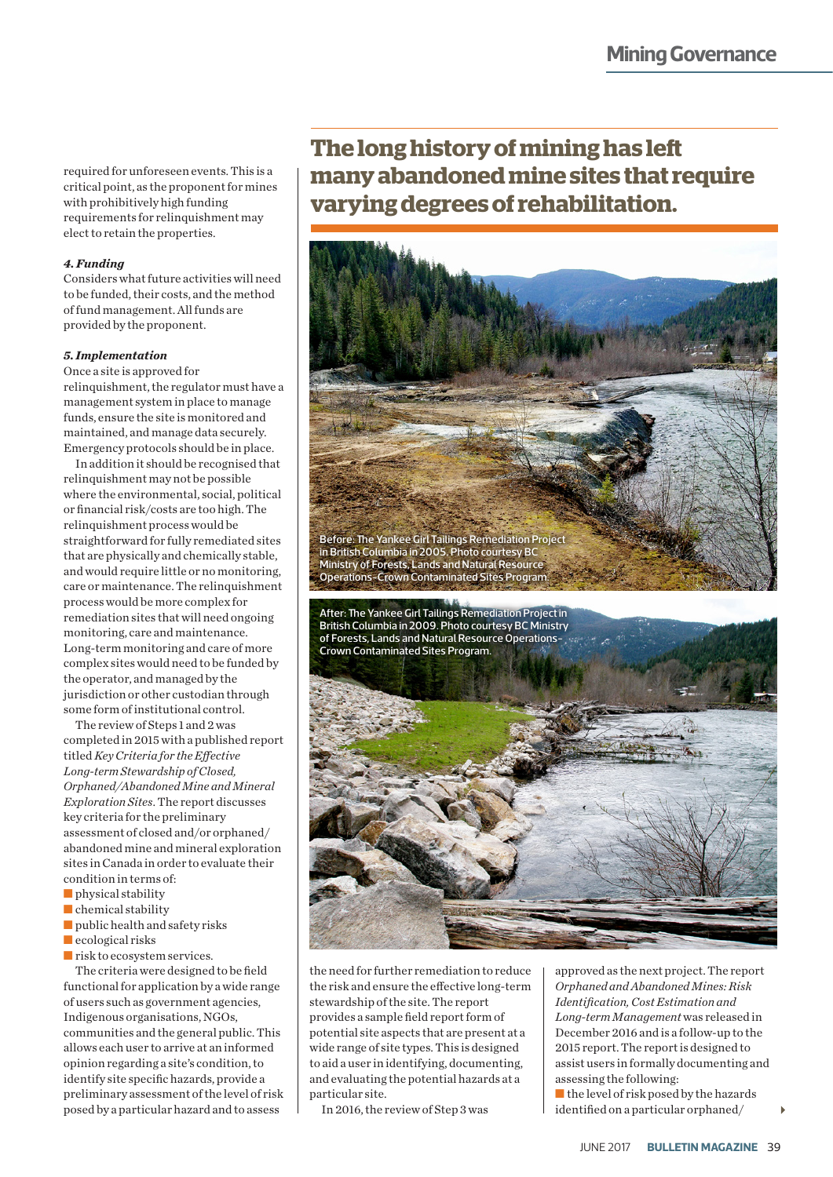required for unforeseen events. This is a critical point, as the proponent for mines with prohibitively high funding requirements for relinquishment may elect to retain the properties.

#### *4. Funding*

Considers what future activities will need to be funded, their costs, and the method of fund management. All funds are provided by the proponent.

#### *5. Implementation*

Once a site is approved for relinquishment, the regulator must have a management system in place to manage funds, ensure the site is monitored and maintained, and manage data securely. Emergency protocols should be in place.

In addition it should be recognised that relinquishment may not be possible where the environmental, social, political or financial risk/costs are too high. The relinquishment process would be straightforward for fully remediated sites that are physically and chemically stable, and would require little or no monitoring, care or maintenance. The relinquishment process would be more complex for remediation sites that will need ongoing monitoring, care and maintenance. Long-term monitoring and care of more complex sites would need to be funded by the operator, and managed by the jurisdiction or other custodian through some form of institutional control.

The review of Steps 1 and 2 was completed in 2015 with a published report titled *Key Criteria for the Effective Long-term Stewardship of Closed, Orphaned/Abandoned Mine and Mineral Exploration Sites*. The report discusses key criteria for the preliminary assessment of closed and/or orphaned/ abandoned mine and mineral exploration sites in Canada in order to evaluate their condition in terms of:

- physical stability
- chemical stability
- public health and safety risks
- ecological risks
- risk to ecosystem services.

The criteria were designed to be field functional for application by a wide range of users such as government agencies, Indigenous organisations, NGOs, communities and the general public. This allows each user to arrive at an informed opinion regarding a site's condition, to identify site specific hazards, provide a preliminary assessment of the level of risk posed by a particular hazard and to assess

## **The long history of mining has left many abandoned mine sites that require varying degrees of rehabilitation.**



the need for further remediation to reduce the risk and ensure the effective long-term stewardship of the site. The report provides a sample field report form of potential site aspects that are present at a wide range of site types. This is designed to aid a user in identifying, documenting, and evaluating the potential hazards at a particular site.

In 2016, the review of Step 3 was

approved as the next project. The report *Orphaned and Abandoned Mines: Risk Identification, Cost Estimation and Long-term Management* was released in December 2016 and is a follow-up to the 2015 report. The report is designed to assist users in formally documenting and assessing the following:

■ the level of risk posed by the hazards identified on a particular orphaned/